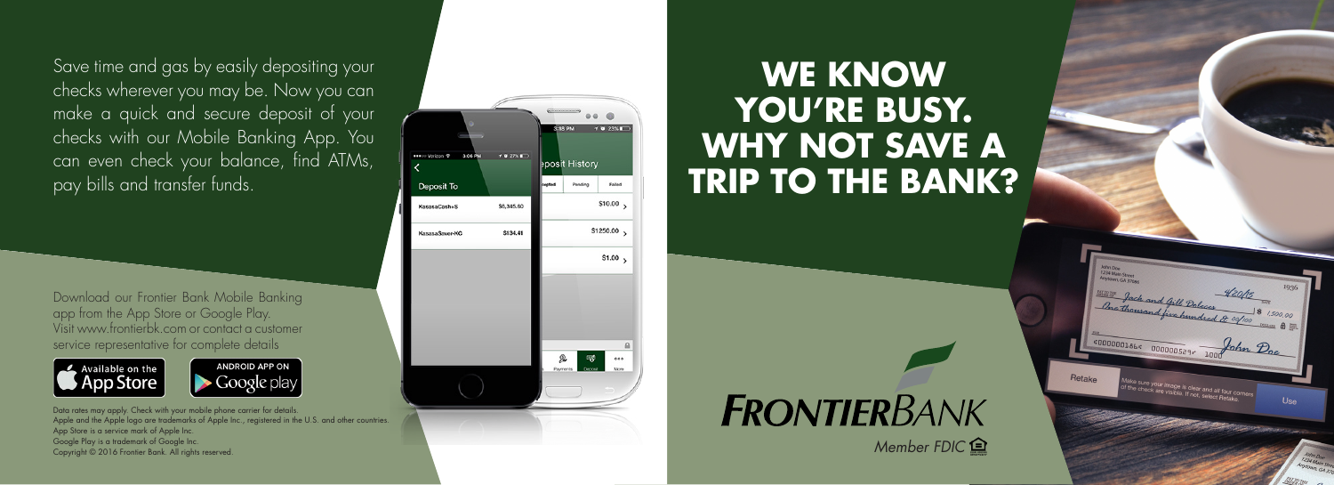Save time and gas by easily depositing your checks wherever you may be. Now you can make a quick and secure deposit of your checks with our Mobile Banking App. You can even check your balance, find ATMs, pay bills and transfer funds.

Download our Frontier Bank Mobile Banking app from the App Store or Google Play. Visit www.frontierbk.com or contact a customer service representative for complete details



ANDROID APP ON

Data rates may apply. Check with your mobile phone carrier for details. Apple and the Apple logo are trademarks of Apple Inc., registered in the U.S. and other countries. App Store is a service mark of Apple Inc. Google Play is a trademark of Google Inc. Copyright © 2016 Frontier Bank. All rights reserved.



## **WE KNOW YOU'RE BUSY. WHY NOT SAVE A TRIP TO THE BANK?**

## **FRONTIERBANK**

*Member FDIC*

.000000186. 000000529.

Make sure your image is clear and all four corners<br>of the check are visible. If not, select Retake.

Use

Retake